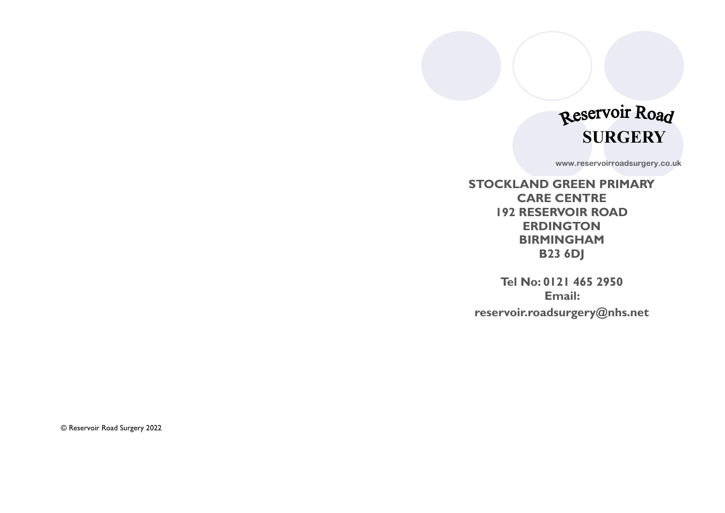# Reservoir Road **SURGERY**

**www.reservoirroadsurgery.co.uk**

**STOCKLAND GREEN PRIMARY CARE CENTRE 192 RESERVOIR ROAD ERDINGTON BIRMINGHAM B23 6DJ**

**Tel No: 0121 465 2950 Email: reservoir.roadsurgery@nhs.net**

© Reservoir Road Surgery 2022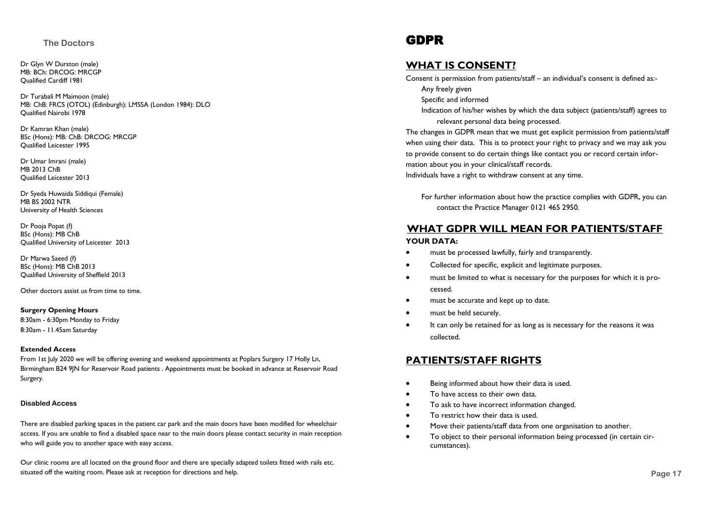#### **The Doctors**

Dr Glyn W Durston (male) MB: BCh: DRCOG: MRCGP Qualified Cardiff 1981

Dr Turabali M Maimoon (male) MB: ChB: FRCS (OTOL) (Edinburgh): LMSSA (London 1984): DLO Qualified Nairobi 1978

Dr Kamran Khan (male) BSc (Hons): MB: ChB: DRCOG: MRCGP Qualified Leicester 1995

Dr Umar Imrani (male) MB 2013 ChB Qualified Leicester 2013

Dr Syeda Huwaida Siddiqui (Female) MB BS 2002 NTR University of Health Sciences

Dr Pooja Popat (f) BSc (Hons): MB ChB Qualified University of Leicester 2013

Dr Marwa Saeed (f) BSc (Hons): MB ChB 2013 Qualified University of Sheffield 2013

Other doctors assist us from time to time.

#### **Surgery Opening Hours**

8:30am - 6:30pm Monday to Friday 8:30am - 11.45am Saturday

#### **Extended Access**

From 1st July 2020 we will be offering evening and weekend appointments at Poplars Surgery 17 Holly Ln, Birmingham B24 9JN for Reservoir Road patients . Appointments must be booked in advance at Reservoir Road Surgery.

#### **Disabled Access**

There are disabled parking spaces in the patient car park and the main doors have been modified for wheelchair access. If you are unable to find a disabled space near to the main doors please contact security in main reception who will guide you to another space with easy access.

**Page 2** situated off the waiting room. Please ask at reception for directions and help. **Page 17** Our clinic rooms are all located on the ground floor and there are specially adapted toilets fitted with rails etc.

## GDPR

#### **WHAT IS CONSENT?**

Consent is permission from patients/staff – an individual's consent is defined as:-

Any freely given

- Specific and informed
- Indication of his/her wishes by which the data subject (patients/staff) agrees to relevant personal data being processed.

The changes in GDPR mean that we must get explicit permission from patients/staff when using their data. This is to protect your right to privacy and we may ask you to provide consent to do certain things like contact you or record certain information about you in your clinical/staff records.

Individuals have a right to withdraw consent at any time.

For further information about how the practice complies with GDPR, you can contact the Practice Manager 0121 465 2950.

#### **WHAT GDPR WILL MEAN FOR PATIENTS/STAFF YOUR DATA:**

- must be processed lawfully, fairly and transparently.
- Collected for specific, explicit and legitimate purposes.
- must be limited to what is necessary for the purposes for which it is processed.
- must be accurate and kept up to date.
- must be held securely.
- It can only be retained for as long as is necessary for the reasons it was collected.

#### **PATIENTS/STAFF RIGHTS**

- Being informed about how their data is used.
- To have access to their own data.
- To ask to have incorrect information changed.
- To restrict how their data is used.
- Move their patients/staff data from one organisation to another.
- To object to their personal information being processed (in certain circumstances).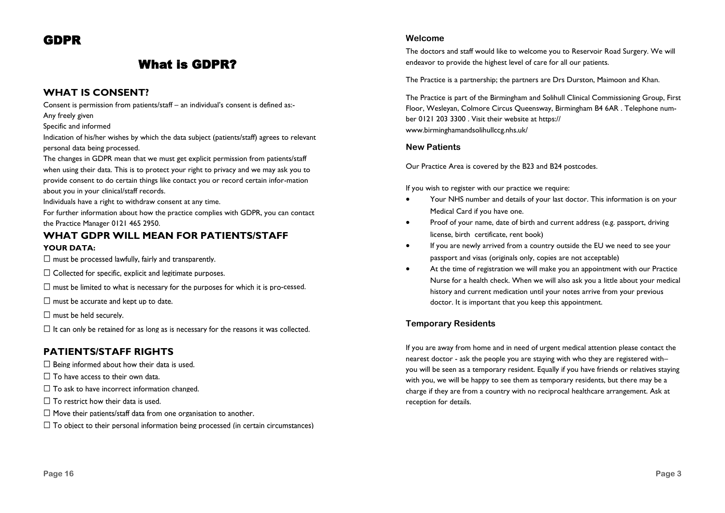# GDPR

# What is GDPR?

#### **WHAT IS CONSENT?**

Consent is permission from patients/staff – an individual's consent is defined as:-

Any freely given

Specific and informed

Indication of his/her wishes by which the data subject (patients/staff) agrees to relevant personal data being processed.

The changes in GDPR mean that we must get explicit permission from patients/staff when using their data. This is to protect your right to privacy and we may ask you to provide consent to do certain things like contact you or record certain infor-mation about you in your clinical/staff records.

Individuals have a right to withdraw consent at any time.

For further information about how the practice complies with GDPR, you can contact the Practice Manager 0121 465 2950.

#### **WHAT GDPR WILL MEAN FOR PATIENTS/STAFF YOUR DATA:**

 $\Box$  must be processed lawfully, fairly and transparently.

 $\Box$  Collected for specific, explicit and legitimate purposes.

 $\Box$  must be limited to what is necessary for the purposes for which it is pro-cessed.

 $\Box$  must be accurate and kept up to date.

 $\square$  must be held securely.

 $\Box$  It can only be retained for as long as is necessary for the reasons it was collected.

### **PATIENTS/STAFF RIGHTS**

- $\Box$  Being informed about how their data is used.
- $\Box$  To have access to their own data.
- $\Box$  To ask to have incorrect information changed.
- $\Box$  To restrict how their data is used.
- $\Box$  Move their patients/staff data from one organisation to another.
- $\Box$  To object to their personal information being processed (in certain circumstances)

#### **Welcome**

The doctors and staff would like to welcome you to Reservoir Road Surgery. We will endeavor to provide the highest level of care for all our patients.

The Practice is a partnership; the partners are Drs Durston, Maimoon and Khan.

The Practice is part of the Birmingham and Solihull Clinical Commissioning Group, First Floor, Wesleyan, Colmore Circus Queensway, Birmingham B4 6AR . Telephone number 0121 203 3300 . Visit their website at https:// www.birminghamandsolihullccg.nhs.uk/

#### **New Patients**

Our Practice Area is covered by the B23 and B24 postcodes.

If you wish to register with our practice we require:

- Your NHS number and details of your last doctor. This information is on your Medical Card if you have one.
- Proof of your name, date of birth and current address (e.g. passport, driving license, birth certificate, rent book)
- If you are newly arrived from a country outside the EU we need to see your passport and visas (originals only, copies are not acceptable)
- At the time of registration we will make you an appointment with our Practice Nurse for a health check. When we will also ask you a little about your medical history and current medication until your notes arrive from your previous doctor. It is important that you keep this appointment.

#### **Temporary Residents**

If you are away from home and in need of urgent medical attention please contact the nearest doctor - ask the people you are staying with who they are registered with– you will be seen as a temporary resident. Equally if you have friends or relatives staying with you, we will be happy to see them as temporary residents, but there may be a charge if they are from a country with no reciprocal healthcare arrangement. Ask at reception for details.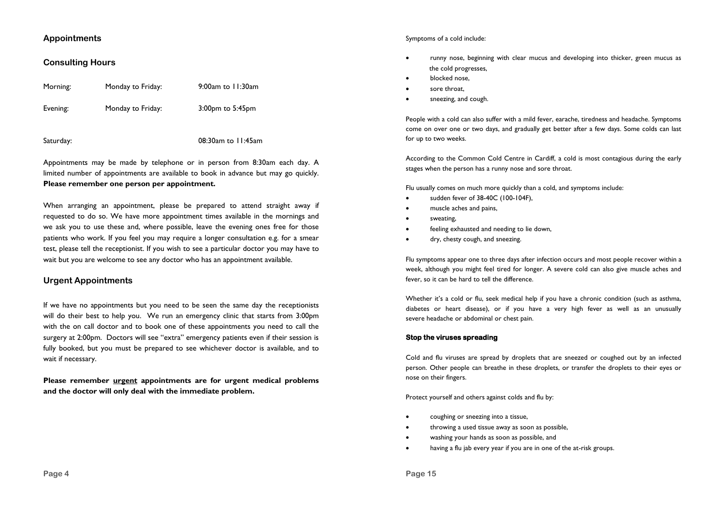#### **Appointments**

#### **Consulting Hours**

| Morning: | Monday to Friday: | 9:00am to 11:30am      |
|----------|-------------------|------------------------|
| Evening: | Monday to Friday: | $3:00$ pm to $5:45$ pm |

Saturday: 08:30am to 11:45am

Appointments may be made by telephone or in person from 8:30am each day. A limited number of appointments are available to book in advance but may go quickly. **Please remember one person per appointment.**

When arranging an appointment, please be prepared to attend straight away if requested to do so. We have more appointment times available in the mornings and we ask you to use these and, where possible, leave the evening ones free for those patients who work. If you feel you may require a longer consultation e.g. for a smear test, please tell the receptionist. If you wish to see a particular doctor you may have to wait but you are welcome to see any doctor who has an appointment available.

#### **Urgent Appointments**

If we have no appointments but you need to be seen the same day the receptionists will do their best to help you. We run an emergency clinic that starts from 3:00pm with the on call doctor and to book one of these appointments you need to call the surgery at 2:00pm. Doctors will see "extra" emergency patients even if their session is fully booked, but you must be prepared to see whichever doctor is available, and to wait if necessary.

**Please remember urgent appointments are for urgent medical problems and the doctor will only deal with the immediate problem.**

#### Symptoms of a cold include:

- runny nose, beginning with clear mucus and developing into thicker, green mucus as the cold progresses,
- blocked nose,
- sore throat,
- sneezing, and cough.

People with a cold can also suffer with a mild fever, earache, tiredness and headache. Symptoms come on over one or two days, and gradually get better after a few days. Some colds can last for up to two weeks.

According to the Common Cold Centre in Cardiff, a cold is most contagious during the early stages when the person has a runny nose and sore throat.

Flu usually comes on much more quickly than a cold, and symptoms include:

- sudden fever of 38-40C (100-104F),
- muscle aches and pains,
- sweating,
- feeling exhausted and needing to lie down,
- dry, chesty cough, and sneezing.

Flu symptoms appear one to three days after infection occurs and most people recover within a week, although you might feel tired for longer. A severe cold can also give muscle aches and fever, so it can be hard to tell the difference.

Whether it's a cold or flu, seek medical help if you have a chronic condition (such as asthma, diabetes or heart disease), or if you have a very high fever as well as an unusually severe headache or abdominal or chest pain.

#### **Stop the viruses spreading**

Cold and flu viruses are spread by droplets that are sneezed or coughed out by an infected person. Other people can breathe in these droplets, or transfer the droplets to their eyes or nose on their fingers.

Protect yourself and others against colds and flu by:

- coughing or sneezing into a tissue,
- throwing a used tissue away as soon as possible,
- washing your hands as soon as possible, and
- having a flu jab every year if you are in one of the at-risk groups.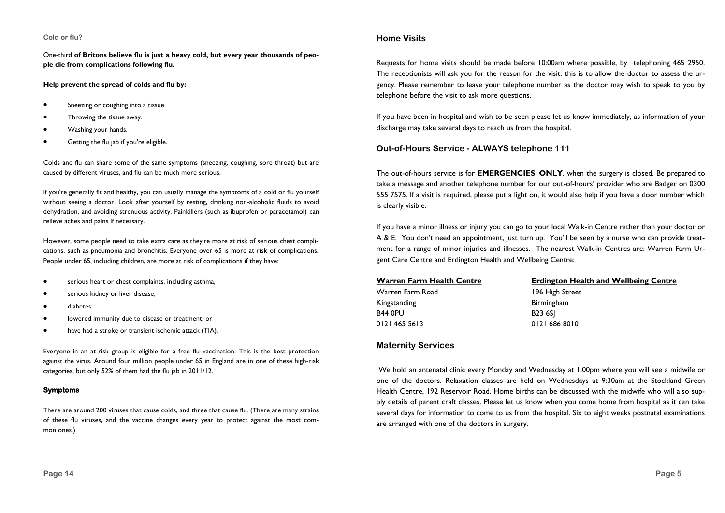#### **Cold or flu?**

One-third **of Britons believe flu is just a heavy cold, but every year thousands of people die from complications following flu.** 

#### **Help prevent the spread of colds and flu by:**

- Sneezing or coughing into a tissue.
- Throwing the tissue away.
- Washing your hands.
- Getting the flu jab if you're eligible.

Colds and flu can share some of the same symptoms (sneezing, coughing, sore throat) but are caused by different viruses, and flu can be much more serious.

If you're generally fit and healthy, you can usually manage the symptoms of a cold or flu yourself without seeing a doctor. Look after yourself by resting, drinking non-alcoholic fluids to avoid dehydration, and avoiding strenuous activity. Painkillers (such as ibuprofen or paracetamol) can relieve aches and pains if necessary.

However, some people need to take extra care as they're more at risk of serious chest complications, such as pneumonia and bronchitis. Everyone over 65 is more at risk of complications. People under 65, including children, are more at risk of complications if they have:

- serious heart or chest complaints, including asthma,
- serious kidney or liver disease,
- diabetes,
- lowered immunity due to disease or treatment, or
- have had a stroke or transient ischemic attack (TIA).

Everyone in an at-risk group is eligible for a free flu vaccination. This is the best protection against the virus. Around four million people under 65 in England are in one of these high-risk categories, but only 52% of them had the flu jab in 2011/12.

#### **Symptoms**

There are around 200 viruses that cause colds, and three that cause flu. (There are many strains of these flu viruses, and the vaccine changes every year to protect against the most common ones.)

#### **Home Visits**

Requests for home visits should be made before 10:00am where possible, by telephoning 465 2950. The receptionists will ask you for the reason for the visit; this is to allow the doctor to assess the urgency. Please remember to leave your telephone number as the doctor may wish to speak to you by telephone before the visit to ask more questions.

If you have been in hospital and wish to be seen please let us know immediately, as information of your discharge may take several days to reach us from the hospital.

#### **Out-of-Hours Service - ALWAYS telephone 111**

The out-of-hours service is for **EMERGENCIES ONLY**, when the surgery is closed. Be prepared to take a message and another telephone number for our out-of-hours' provider who are Badger on 0300 555 7575. If a visit is required, please put a light on, it would also help if you have a door number which is clearly visible.

If you have a minor illness or injury you can go to your local Walk-in Centre rather than your doctor or A & E. You don't need an appointment, just turn up. You'll be seen by a nurse who can provide treatment for a range of minor injuries and illnesses. The nearest Walk-in Centres are: Warren Farm Urgent Care Centre and Erdington Health and Wellbeing Centre:

| <b>Warren Farm Health Centre</b> | <b>Erdington Health and Wellbeing Centre</b> |
|----------------------------------|----------------------------------------------|
| Warren Farm Road                 | 196 High Street                              |
| Kingstanding                     | <b>Birmingham</b>                            |
| <b>B44 0PU</b>                   | <b>B23 6SI</b>                               |
| 0121 465 5613                    | 0121 686 8010                                |
|                                  |                                              |

#### **Maternity Services**

We hold an antenatal clinic every Monday and Wednesday at 1:00pm where you will see a midwife or one of the doctors. Relaxation classes are held on Wednesdays at 9:30am at the Stockland Green Health Centre, 192 Reservoir Road. Home births can be discussed with the midwife who will also supply details of parent craft classes. Please let us know when you come home from hospital as it can take several days for information to come to us from the hospital. Six to eight weeks postnatal examinations are arranged with one of the doctors in surgery.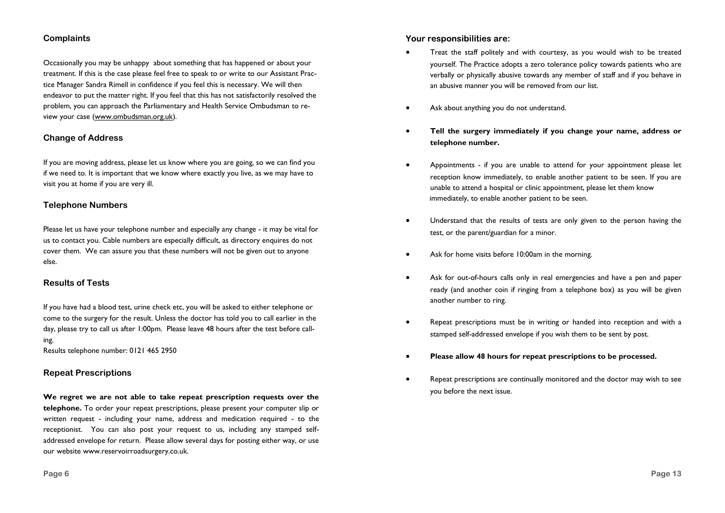#### **Complaints**

Occasionally you may be unhappy about something that has happened or about your treatment. If this is the case please feel free to speak to or write to our Assistant Practice Manager Sandra Rimell in confidence if you feel this is necessary. We will then endeavor to put the matter right. If you feel that this has not satisfactorily resolved the problem, you can approach the Parliamentary and Health Service Ombudsman to review your case (www.ombudsman.org.uk).

#### **Change of Address**

If you are moving address, please let us know where you are going, so we can find you if we need to. It is important that we know where exactly you live, as we may have to visit you at home if you are very ill.

#### **Telephone Numbers**

Please let us have your telephone number and especially any change - it may be vital for us to contact you. Cable numbers are especially difficult, as directory enquires do not cover them. We can assure you that these numbers will not be given out to anyone else.

#### **Results of Tests**

If you have had a blood test, urine check etc, you will be asked to either telephone or come to the surgery for the result. Unless the doctor has told you to call earlier in the day, please try to call us after 1:00pm. Please leave 48 hours after the test before calling.

Results telephone number: 0121 465 2950

#### **Repeat Prescriptions**

**We regret we are not able to take repeat prescription requests over the telephone.** To order your repeat prescriptions, please present your computer slip or written request - including your name, address and medication required - to the receptionist. You can also post your request to us, including any stamped selfaddressed envelope for return. Please allow several days for posting either way, or use our website www.reservoirroadsurgery.co.uk.

Your responsibilities are:

- Treat the staff politely and with courtesy, as you would wish to be treated yourself. The Practice adopts a zero tolerance policy towards patients who are verbally or physically abusive towards any member of staff and if you behave in an abusive manner you will be removed from our list.
- Ask about anything you do not understand.
- **Tell the surgery immediately if you change your name, address or telephone number.**
- Appointments if you are unable to attend for your appointment please let reception know immediately, to enable another patient to be seen. If you are unable to attend a hospital or clinic appointment, please let them know immediately, to enable another patient to be seen.
- Understand that the results of tests are only given to the person having the test, or the parent/guardian for a minor.
- Ask for home visits before 10:00am in the morning.
- Ask for out-of-hours calls only in real emergencies and have a pen and paper ready (and another coin if ringing from a telephone box) as you will be given another number to ring.
- Repeat prescriptions must be in writing or handed into reception and with a stamped self-addressed envelope if you wish them to be sent by post.
- **Please allow 48 hours for repeat prescriptions to be processed.**
- Repeat prescriptions are continually monitored and the doctor may wish to see you before the next issue.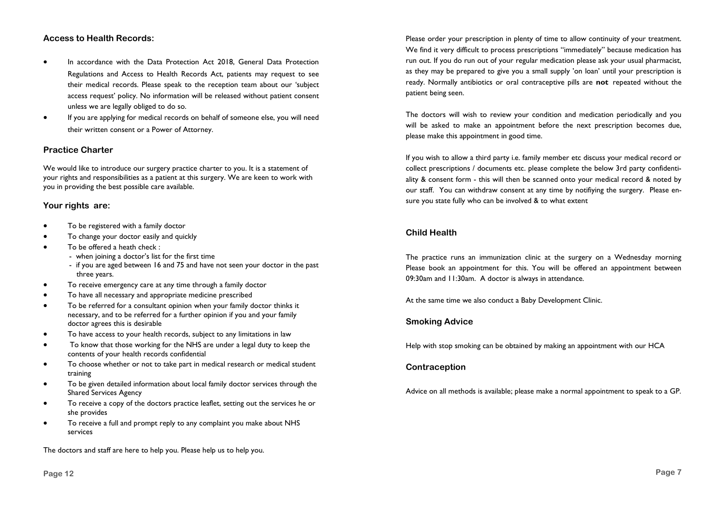#### **Access to Health Records:**

- In accordance with the Data Protection Act 2018, General Data Protection Regulations and Access to Health Records Act, patients may request to see their medical records. Please speak to the reception team about our 'subject access request' policy. No information will be released without patient consent unless we are legally obliged to do so.
- If you are applying for medical records on behalf of someone else, you will need their written consent or a Power of Attorney.

#### **Practice Charter**

We would like to introduce our surgery practice charter to you. It is a statement of your rights and responsibilities as a patient at this surgery. We are keen to work with you in providing the best possible care available.

#### **Your rights are:**

- To be registered with a family doctor
- To change your doctor easily and quickly
- To be offered a heath check :
	- when joining a doctor's list for the first time
	- if you are aged between 16 and 75 and have not seen your doctor in the past three years.
- To receive emergency care at any time through a family doctor
- To have all necessary and appropriate medicine prescribed
- To be referred for a consultant opinion when your family doctor thinks it necessary, and to be referred for a further opinion if you and your family doctor agrees this is desirable
- To have access to your health records, subject to any limitations in law
- To know that those working for the NHS are under a legal duty to keep the contents of your health records confidential
- To choose whether or not to take part in medical research or medical student training
- To be given detailed information about local family doctor services through the Shared Services Agency
- To receive a copy of the doctors practice leaflet, setting out the services he or she provides
- To receive a full and prompt reply to any complaint you make about NHS services

The doctors and staff are here to help you. Please help us to help you.

Please order your prescription in plenty of time to allow continuity of your treatment. We find it very difficult to process prescriptions "immediately" because medication has run out. If you do run out of your regular medication please ask your usual pharmacist, as they may be prepared to give you a small supply 'on loan' until your prescription is ready. Normally antibiotics or oral contraceptive pills are **not** repeated without the patient being seen.

The doctors will wish to review your condition and medication periodically and you will be asked to make an appointment before the next prescription becomes due, please make this appointment in good time.

If you wish to allow a third party i.e. family member etc discuss your medical record or collect prescriptions / documents etc. please complete the below 3rd party confidentiality & consent form - this will then be scanned onto your medical record & noted by our staff. You can withdraw consent at any time by notifiying the surgery. Please ensure you state fully who can be involved & to what extent

#### **Child Health**

The practice runs an immunization clinic at the surgery on a Wednesday morning Please book an appointment for this. You will be offered an appointment between 09:30am and 11:30am. A doctor is always in attendance.

At the same time we also conduct a Baby Development Clinic.

#### **Smoking Advice**

Help with stop smoking can be obtained by making an appointment with our HCA

#### **Contraception**

Advice on all methods is available; please make a normal appointment to speak to a GP.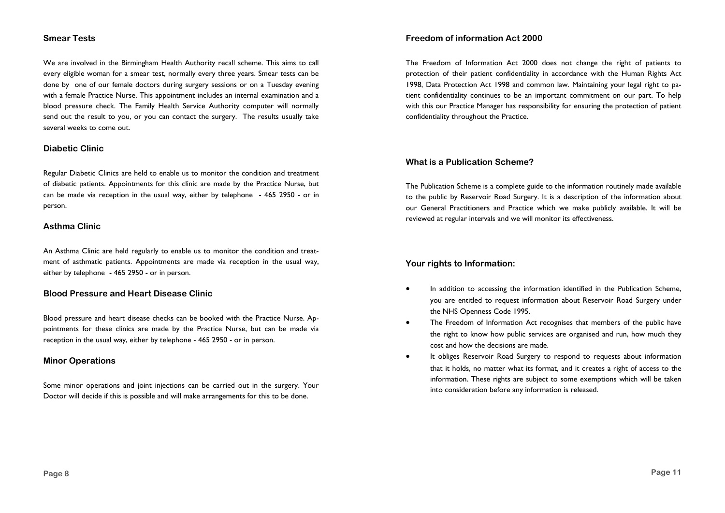#### **Smear Tests**

We are involved in the Birmingham Health Authority recall scheme. This aims to call every eligible woman for a smear test, normally every three years. Smear tests can be done by one of our female doctors during surgery sessions or on a Tuesday evening with a female Practice Nurse. This appointment includes an internal examination and a blood pressure check. The Family Health Service Authority computer will normally send out the result to you, or you can contact the surgery. The results usually take several weeks to come out.

#### **Diabetic Clinic**

Regular Diabetic Clinics are held to enable us to monitor the condition and treatment of diabetic patients. Appointments for this clinic are made by the Practice Nurse, but can be made via reception in the usual way, either by telephone - 465 2950 - or in person.

#### **Asthma Clinic**

An Asthma Clinic are held regularly to enable us to monitor the condition and treatment of asthmatic patients. Appointments are made via reception in the usual way, either by telephone - 465 2950 - or in person.

#### **Blood Pressure and Heart Disease Clinic**

Blood pressure and heart disease checks can be booked with the Practice Nurse. Appointments for these clinics are made by the Practice Nurse, but can be made via reception in the usual way, either by telephone - 465 2950 - or in person.

#### **Minor Operations**

Some minor operations and joint injections can be carried out in the surgery. Your Doctor will decide if this is possible and will make arrangements for this to be done.

#### **Freedom of information Act 2000**

The Freedom of Information Act 2000 does not change the right of patients to protection of their patient confidentiality in accordance with the Human Rights Act 1998, Data Protection Act 1998 and common law. Maintaining your legal right to patient confidentiality continues to be an important commitment on our part. To help with this our Practice Manager has responsibility for ensuring the protection of patient confidentiality throughout the Practice.

#### **What is a Publication Scheme?**

The Publication Scheme is a complete guide to the information routinely made available to the public by Reservoir Road Surgery. It is a description of the information about our General Practitioners and Practice which we make publicly available. It will be reviewed at regular intervals and we will monitor its effectiveness.

#### **Your rights to Information:**

- In addition to accessing the information identified in the Publication Scheme, you are entitled to request information about Reservoir Road Surgery under the NHS Openness Code 1995.
- The Freedom of Information Act recognises that members of the public have the right to know how public services are organised and run, how much they cost and how the decisions are made.
- It obliges Reservoir Road Surgery to respond to requests about information that it holds, no matter what its format, and it creates a right of access to the information. These rights are subject to some exemptions which will be taken into consideration before any information is released.